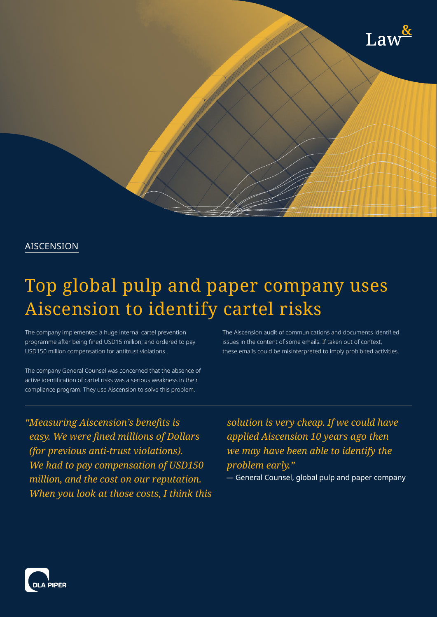AISCENSION

## Top global pulp and paper company uses Aiscension to identify cartel risks

The company implemented a huge internal cartel prevention programme after being fined USD15 million; and ordered to pay USD150 million compensation for antitrust violations.

The company General Counsel was concerned that the absence of active identification of cartel risks was a serious weakness in their compliance program. They use Aiscension to solve this problem.

The Aiscension audit of communications and documents identified issues in the content of some emails. If taken out of context, these emails could be misinterpreted to imply prohibited activities.

Lay

*"Measuring Aiscension's benefits is easy. We were fined millions of Dollars (for previous anti-trust violations). We had to pay compensation of USD150 million, and the cost on our reputation. When you look at those costs, I think this* *solution is very cheap. If we could have applied Aiscension 10 years ago then we may have been able to identify the problem early."*

— General Counsel, global pulp and paper company